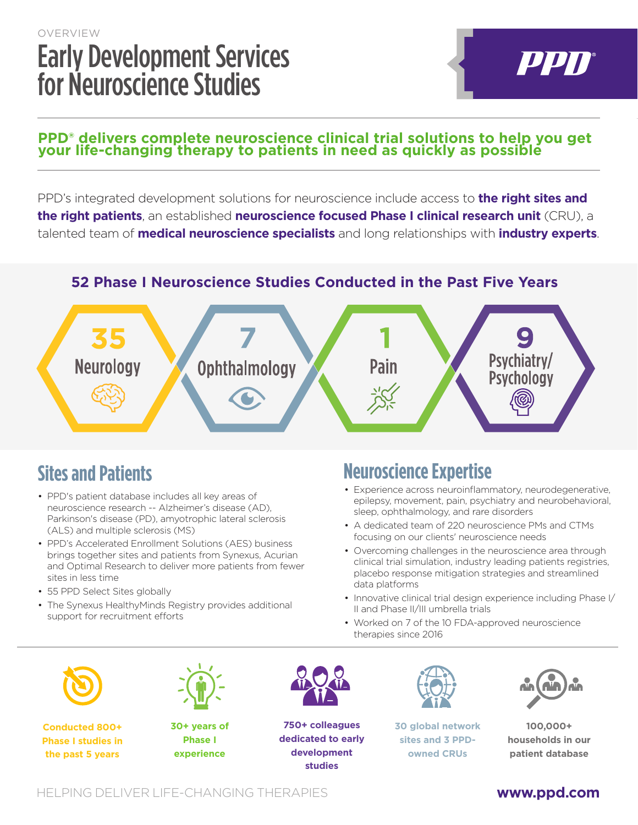# OVERVIEW Early Development Services for Neuroscience Studies

#### **PPD® delivers complete neuroscience clinical trial solutions to help you get your life-changing therapy to patients in need as quickly as possible**

PPD's integrated development solutions for neuroscience include access to **the right sites and the right patients**, an established **neuroscience focused Phase I clinical research unit** (CRU), a talented team of **medical neuroscience specialists** and long relationships with **industry experts**.

### **52 Phase I Neuroscience Studies Conducted in the Past Five Years**



## **Sites and Patients**

- PPD's patient database includes all key areas of neuroscience research -- Alzheimer's disease (AD), Parkinson's disease (PD), amyotrophic lateral sclerosis (ALS) and multiple sclerosis (MS)
- PPD's Accelerated Enrollment Solutions (AES) business brings together sites and patients from Synexus, Acurian and Optimal Research to deliver more patients from fewer sites in less time
- 55 PPD Select Sites globally
- The Synexus HealthyMinds Registry provides additional support for recruitment efforts

## **Neuroscience Expertise**

- Experience across neuroinflammatory, neurodegenerative, epilepsy, movement, pain, psychiatry and neurobehavioral, sleep, ophthalmology, and rare disorders
- A dedicated team of 220 neuroscience PMs and CTMs focusing on our clients' neuroscience needs
- Overcoming challenges in the neuroscience area through clinical trial simulation, industry leading patients registries, placebo response mitigation strategies and streamlined data platforms
- Innovative clinical trial design experience including Phase I/ II and Phase II/III umbrella trials
- Worked on 7 of the 10 FDA-approved neuroscience therapies since 2016



**Conducted 800+ Phase I studies in the past 5 years**



**30+ years of Phase I experience**



**750+ colleagues dedicated to early development studies**



**30 global network sites and 3 PPDowned CRUs**



PPN®

**100,000+ households in our patient database**